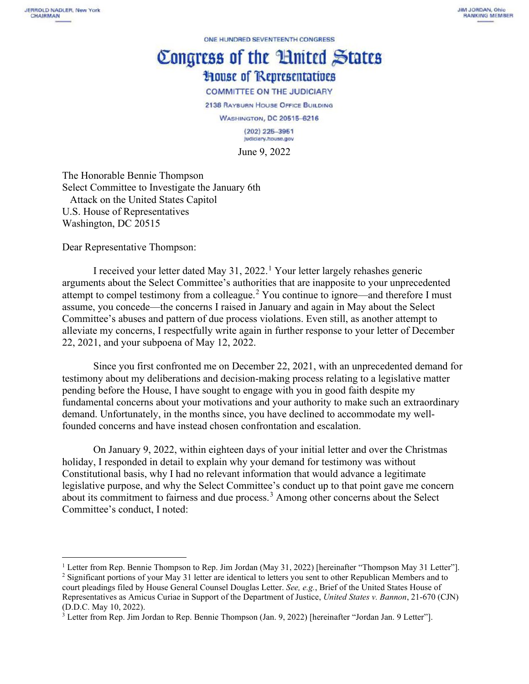ONE HUNDRED SEVENTEENTH CONGRESS

## Congress of the Huited States **House of Representatives**

**COMMITTEE ON THE JUDICIARY** 

2138 RAYBURN HOUSE OFFICE BUILDING

WASHINGTON, DC 20515-6216

<span id="page-0-3"></span> $(202)$  225-3951 judiciary.house.gov June 9, 2022

The Honorable Bennie Thompson Select Committee to Investigate the January 6th Attack on the United States Capitol U.S. House of Representatives Washington, DC 20515

Dear Representative Thompson:

I received your letter dated May 31, 2022. [1](#page-0-0) Your letter largely rehashes generic arguments about the Select Committee's authorities that are inapposite to your unprecedented attempt to compel testimony from a colleague.<sup>[2](#page-0-1)</sup> You continue to ignore—and therefore I must assume, you concede—the concerns I raised in January and again in May about the Select Committee's abuses and pattern of due process violations. Even still, as another attempt to alleviate my concerns, I respectfully write again in further response to your letter of December 22, 2021, and your subpoena of May 12, 2022.

Since you first confronted me on December 22, 2021, with an unprecedented demand for testimony about my deliberations and decision-making process relating to a legislative matter pending before the House, I have sought to engage with you in good faith despite my fundamental concerns about your motivations and your authority to make such an extraordinary demand. Unfortunately, in the months since, you have declined to accommodate my wellfounded concerns and have instead chosen confrontation and escalation.

<span id="page-0-4"></span>On January 9, 2022, within eighteen days of your initial letter and over the Christmas holiday, I responded in detail to explain why your demand for testimony was without Constitutional basis, why I had no relevant information that would advance a legitimate legislative purpose, and why the Select Committee's conduct up to that point gave me concern about its commitment to fairness and due process.[3](#page-0-2) Among other concerns about the Select Committee's conduct, I noted:

<span id="page-0-0"></span><sup>&</sup>lt;sup>1</sup> Letter from Rep. Bennie Thompson to Rep. Jim Jordan (May 31, 2022) [hereinafter "Thompson May 31 Letter"].

<span id="page-0-1"></span><sup>&</sup>lt;sup>2</sup> Significant portions of your May 31 letter are identical to letters you sent to other Republican Members and to court pleadings filed by House General Counsel Douglas Letter. *See, e.g.*, Brief of the United States House of Representatives as Amicus Curiae in Support of the Department of Justice, *United States v. Bannon*, 21-670 (CJN) (D.D.C. May 10, 2022).

<span id="page-0-2"></span><sup>&</sup>lt;sup>3</sup> Letter from Rep. Jim Jordan to Rep. Bennie Thompson (Jan. 9, 2022) [hereinafter "Jordan Jan. 9 Letter"].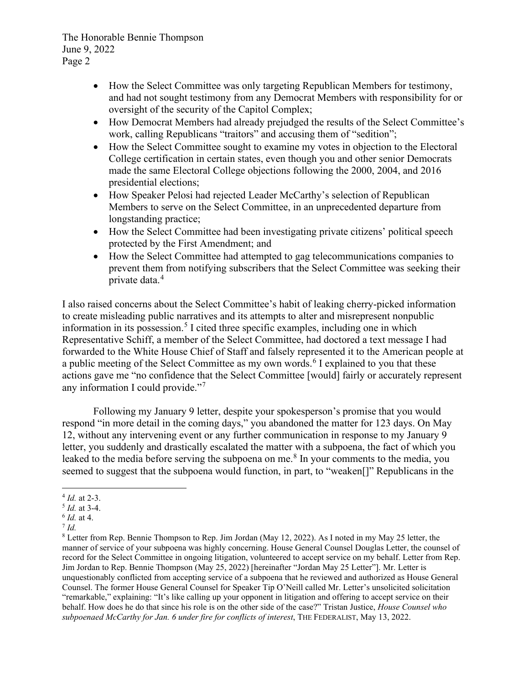- How the Select Committee was only targeting Republican Members for testimony, and had not sought testimony from any Democrat Members with responsibility for or oversight of the security of the Capitol Complex;
- How Democrat Members had already prejudged the results of the Select Committee's work, calling Republicans "traitors" and accusing them of "sedition";
- How the Select Committee sought to examine my votes in objection to the Electoral College certification in certain states, even though you and other senior Democrats made the same Electoral College objections following the 2000, 2004, and 2016 presidential elections;
- How Speaker Pelosi had rejected Leader McCarthy's selection of Republican Members to serve on the Select Committee, in an unprecedented departure from longstanding practice;
- How the Select Committee had been investigating private citizens' political speech protected by the First Amendment; and
- How the Select Committee had attempted to gag telecommunications companies to prevent them from notifying subscribers that the Select Committee was seeking their private data. [4](#page-1-0)

I also raised concerns about the Select Committee's habit of leaking cherry-picked information to create misleading public narratives and its attempts to alter and misrepresent nonpublic information in its possession. [5](#page-1-1) I cited three specific examples, including one in which Representative Schiff, a member of the Select Committee, had doctored a text message I had forwarded to the White House Chief of Staff and falsely represented it to the American people at a public meeting of the Select Committee as my own words.<sup>[6](#page-1-2)</sup> I explained to you that these actions gave me "no confidence that the Select Committee [would] fairly or accurately represent any information I could provide."[7](#page-1-3)

Following my January 9 letter, despite your spokesperson's promise that you would respond "in more detail in the coming days," you abandoned the matter for 123 days. On May 12, without any intervening event or any further communication in response to my January 9 letter, you suddenly and drastically escalated the matter with a subpoena, the fact of which you leaked to the media before serving the subpoena on me.<sup>[8](#page-1-4)</sup> In your comments to the media, you seemed to suggest that the subpoena would function, in part, to "weaken[]" Republicans in the

<span id="page-1-5"></span><span id="page-1-0"></span><sup>4</sup> *Id.* at 2-3.

<span id="page-1-1"></span><sup>5</sup> *Id.* at 3-4.

<span id="page-1-2"></span><sup>6</sup> *Id.* at 4.

<span id="page-1-3"></span><sup>7</sup> *Id.*

<span id="page-1-4"></span><sup>8</sup> Letter from Rep. Bennie Thompson to Rep. Jim Jordan (May 12, 2022). As I noted in my May 25 letter, the manner of service of your subpoena was highly concerning. House General Counsel Douglas Letter, the counsel of record for the Select Committee in ongoing litigation, volunteered to accept service on my behalf. Letter from Rep. Jim Jordan to Rep. Bennie Thompson (May 25, 2022) [hereinafter "Jordan May 25 Letter"]. Mr. Letter is unquestionably conflicted from accepting service of a subpoena that he reviewed and authorized as House General Counsel. The former House General Counsel for Speaker Tip O'Neill called Mr. Letter's unsolicited solicitation "remarkable," explaining: "It's like calling up your opponent in litigation and offering to accept service on their behalf. How does he do that since his role is on the other side of the case?" Tristan Justice, *House Counsel who subpoenaed McCarthy for Jan. 6 under fire for conflicts of interest*, THE FEDERALIST, May 13, 2022.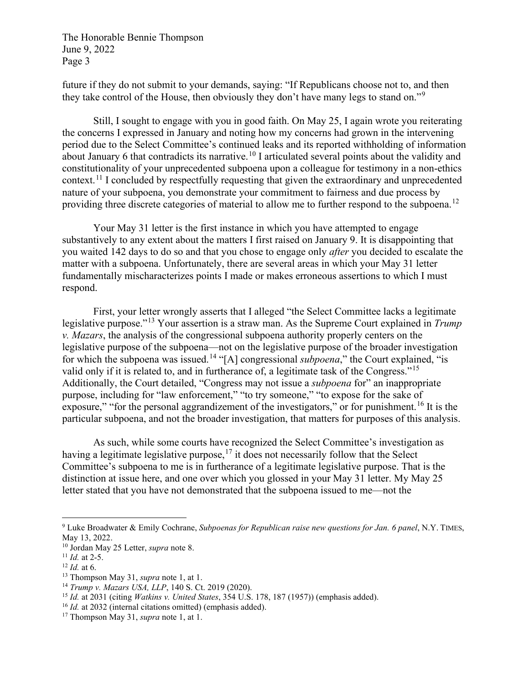<span id="page-2-9"></span>future if they do not submit to your demands, saying: "If Republicans choose not to, and then they take control of the House, then obviously they don't have many legs to stand on."<sup>[9](#page-2-0)</sup>

Still, I sought to engage with you in good faith. On May 25, I again wrote you reiterating the concerns I expressed in January and noting how my concerns had grown in the intervening period due to the Select Committee's continued leaks and its reported withholding of information about January 6 that contradicts its narrative.<sup>[10](#page-2-1)</sup> I articulated several points about the validity and constitutionality of your unprecedented subpoena upon a colleague for testimony in a non-ethics context.<sup>[11](#page-2-2)</sup> I concluded by respectfully requesting that given the extraordinary and unprecedented nature of your subpoena, you demonstrate your commitment to fairness and due process by providing three discrete categories of material to allow me to further respond to the subpoena.<sup>[12](#page-2-3)</sup>

Your May 31 letter is the first instance in which you have attempted to engage substantively to any extent about the matters I first raised on January 9. It is disappointing that you waited 142 days to do so and that you chose to engage only *after* you decided to escalate the matter with a subpoena. Unfortunately, there are several areas in which your May 31 letter fundamentally mischaracterizes points I made or makes erroneous assertions to which I must respond.

First, your letter wrongly asserts that I alleged "the Select Committee lacks a legitimate legislative purpose."[13](#page-2-4) Your assertion is a straw man. As the Supreme Court explained in *Trump v. Mazars*, the analysis of the congressional subpoena authority properly centers on the legislative purpose of the subpoena—not on the legislative purpose of the broader investigation for which the subpoena was issued.[14](#page-2-5) "[A] congressional *subpoena*," the Court explained, "is valid only if it is related to, and in furtherance of, a legitimate task of the Congress."<sup>[15](#page-2-6)</sup> Additionally, the Court detailed, "Congress may not issue a *subpoena* for" an inappropriate purpose, including for "law enforcement," "to try someone," "to expose for the sake of exposure," "for the personal aggrandizement of the investigators," or for punishment.<sup>[16](#page-2-7)</sup> It is the particular subpoena, and not the broader investigation, that matters for purposes of this analysis.

As such, while some courts have recognized the Select Committee's investigation as having a legitimate legislative purpose,  $17$  it does not necessarily follow that the Select Committee's subpoena to me is in furtherance of a legitimate legislative purpose. That is the distinction at issue here, and one over which you glossed in your May 31 letter. My May 25 letter stated that you have not demonstrated that the subpoena issued to me—not the

<span id="page-2-0"></span><sup>9</sup> Luke Broadwater & Emily Cochrane, *Subpoenas for Republican raise new questions for Jan. 6 panel*, N.Y. TIMES, May 13, 2022.

<span id="page-2-1"></span><sup>10</sup> Jordan May 25 Letter, *supra* note [8.](#page-1-5)

<span id="page-2-2"></span><sup>11</sup> *Id.* at 2-5.

<span id="page-2-3"></span> $12$  *Id.* at 6.

<span id="page-2-4"></span><sup>13</sup> Thompson May 31, *supra* note [1,](#page-0-3) at 1.

<span id="page-2-5"></span><sup>14</sup> *Trump v. Mazars USA, LLP*, 140 S. Ct. 2019 (2020).

<span id="page-2-6"></span><sup>15</sup> *Id.* at 2031 (citing *Watkins v. United States*, 354 U.S. 178, 187 (1957)) (emphasis added).

<span id="page-2-7"></span><sup>16</sup> *Id.* at 2032 (internal citations omitted) (emphasis added).

<span id="page-2-8"></span><sup>17</sup> Thompson May 31, *supra* note [1,](#page-0-3) at 1.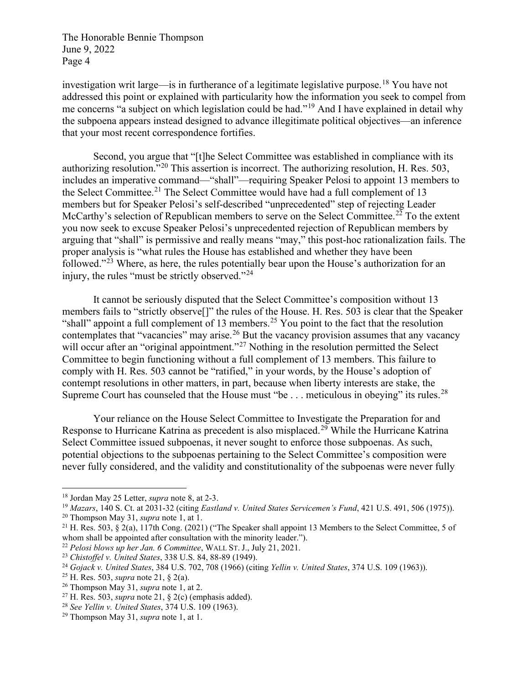investigation writ large—is in furtherance of a legitimate legislative purpose.[18](#page-3-1) You have not addressed this point or explained with particularity how the information you seek to compel from me concerns "a subject on which legislation could be had."<sup>[19](#page-3-2)</sup> And I have explained in detail why the subpoena appears instead designed to advance illegitimate political objectives—an inference that your most recent correspondence fortifies.

<span id="page-3-0"></span>Second, you argue that "[t]he Select Committee was established in compliance with its authorizing resolution.<sup>"[20](#page-3-3)</sup> This assertion is incorrect. The authorizing resolution, H. Res. 503, includes an imperative command—"shall"—requiring Speaker Pelosi to appoint 13 members to the Select Committee.<sup>[21](#page-3-4)</sup> The Select Committee would have had a full complement of 13 members but for Speaker Pelosi's self-described "unprecedented" step of rejecting Leader McCarthy's selection of Republican members to serve on the Select Committee.<sup>[22](#page-3-5)</sup> To the extent you now seek to excuse Speaker Pelosi's unprecedented rejection of Republican members by arguing that "shall" is permissive and really means "may," this post-hoc rationalization fails. The proper analysis is "what rules the House has established and whether they have been followed."[23](#page-3-6) Where, as here, the rules potentially bear upon the House's authorization for an injury, the rules "must be strictly observed."<sup>[24](#page-3-7)</sup>

It cannot be seriously disputed that the Select Committee's composition without 13 members fails to "strictly observe[]" the rules of the House. H. Res. 503 is clear that the Speaker "shall" appoint a full complement of 13 members.<sup>[25](#page-3-8)</sup> You point to the fact that the resolution contemplates that "vacancies" may arise.<sup>[26](#page-3-9)</sup> But the vacancy provision assumes that any vacancy will occur after an "original appointment."<sup>[27](#page-3-10)</sup> Nothing in the resolution permitted the Select Committee to begin functioning without a full complement of 13 members. This failure to comply with H. Res. 503 cannot be "ratified," in your words, by the House's adoption of contempt resolutions in other matters, in part, because when liberty interests are stake, the Supreme Court has counseled that the House must "be  $\dots$  meticulous in obeying" its rules.<sup>[28](#page-3-11)</sup>

Your reliance on the House Select Committee to Investigate the Preparation for and Response to Hurricane Katrina as precedent is also misplaced.<sup>[29](#page-3-12)</sup> While the Hurricane Katrina Select Committee issued subpoenas, it never sought to enforce those subpoenas. As such, potential objections to the subpoenas pertaining to the Select Committee's composition were never fully considered, and the validity and constitutionality of the subpoenas were never fully

<span id="page-3-1"></span><sup>18</sup> Jordan May 25 Letter, *supra* note [8,](#page-1-5) at 2-3.

<span id="page-3-2"></span><sup>&</sup>lt;sup>19</sup> *Mazars*, 140 S. Ct. at 2031-32 (citing *Eastland v. United States Servicemen's Fund*, 421 U.S. 491, 506 (1975)).<br><sup>20</sup> Thompson May 31, *supra* note 1, at 1.

<span id="page-3-4"></span><span id="page-3-3"></span><sup>&</sup>lt;sup>21</sup> H. Res. 503, § 2(a), 117th Cong. (2021) ("The Speaker shall appoint 13 Members to the Select Committee, 5 of whom shall be appointed after consultation with the minority leader.").

<span id="page-3-5"></span><sup>&</sup>lt;sup>22</sup> Pelosi blows up her Jan. 6 Committee, WALL ST. J., July 21, 2021.

<span id="page-3-6"></span><sup>23</sup> *Chistoffel v. United States*, 338 U.S. 84, 88-89 (1949).

<span id="page-3-7"></span><sup>24</sup> *Gojack v. United States*, 384 U.S. 702, 708 (1966) (citing *Yellin v. United States*, 374 U.S. 109 (1963)).

<span id="page-3-8"></span><sup>25</sup> H. Res. 503, *supra* note [21,](#page-3-0) § 2(a).

<span id="page-3-9"></span><sup>26</sup> Thompson May 31, *supra* note [1,](#page-0-3) at 2.

<span id="page-3-10"></span><sup>27</sup> H. Res. 503, *supra* note [21,](#page-3-0) § 2(c) (emphasis added).

<span id="page-3-11"></span><sup>28</sup> *See Yellin v. United States*, 374 U.S. 109 (1963).

<span id="page-3-12"></span><sup>29</sup> Thompson May 31, *supra* note [1,](#page-0-3) at 1.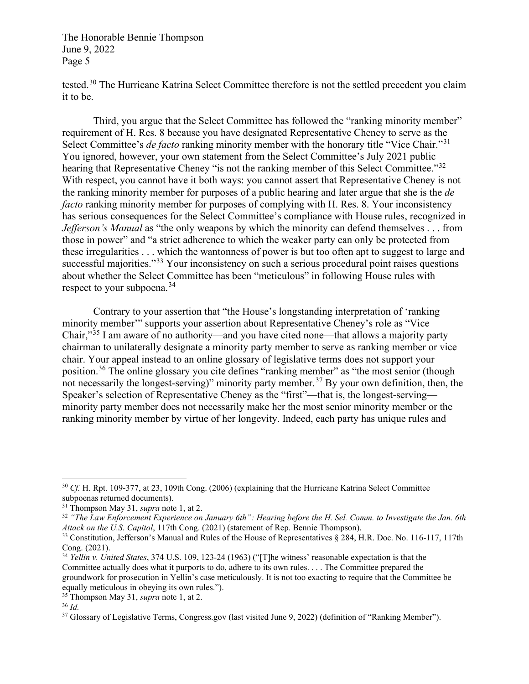tested.<sup>[30](#page-4-0)</sup> The Hurricane Katrina Select Committee therefore is not the settled precedent you claim it to be.

Third, you argue that the Select Committee has followed the "ranking minority member" requirement of H. Res. 8 because you have designated Representative Cheney to serve as the Select Committee's *de facto* ranking minority member with the honorary title "Vice Chair."<sup>[31](#page-4-1)</sup> You ignored, however, your own statement from the Select Committee's July 2021 public hearing that Representative Cheney "is not the ranking member of this Select Committee."<sup>[32](#page-4-2)</sup> With respect, you cannot have it both ways: you cannot assert that Representative Cheney is not the ranking minority member for purposes of a public hearing and later argue that she is the *de facto* ranking minority member for purposes of complying with H. Res. 8. Your inconsistency has serious consequences for the Select Committee's compliance with House rules, recognized in *Jefferson's Manual* as "the only weapons by which the minority can defend themselves . . . from those in power" and "a strict adherence to which the weaker party can only be protected from these irregularities . . . which the wantonness of power is but too often apt to suggest to large and successful majorities."<sup>[33](#page-4-3)</sup> Your inconsistency on such a serious procedural point raises questions about whether the Select Committee has been "meticulous" in following House rules with respect to your subpoena.<sup>[34](#page-4-4)</sup>

Contrary to your assertion that "the House's longstanding interpretation of 'ranking minority member'" supports your assertion about Representative Cheney's role as "Vice Chair,"[35](#page-4-5) I am aware of no authority—and you have cited none—that allows a majority party chairman to unilaterally designate a minority party member to serve as ranking member or vice chair. Your appeal instead to an online glossary of legislative terms does not support your position.<sup>[36](#page-4-6)</sup> The online glossary you cite defines "ranking member" as "the most senior (though not necessarily the longest-serving)" minority party member.[37](#page-4-7) By your own definition, then, the Speaker's selection of Representative Cheney as the "first"—that is, the longest-serving minority party member does not necessarily make her the most senior minority member or the ranking minority member by virtue of her longevity. Indeed, each party has unique rules and

<span id="page-4-0"></span><sup>30</sup> *Cf.* H. Rpt. 109-377, at 23, 109th Cong. (2006) (explaining that the Hurricane Katrina Select Committee subpoenas returned documents).

<span id="page-4-1"></span><sup>31</sup> Thompson May 31, *supra* note [1,](#page-0-3) at 2.

<span id="page-4-2"></span><sup>32</sup> *"The Law Enforcement Experience on January 6th": Hearing before the H. Sel. Comm. to Investigate the Jan. 6th Attack on the U.S. Capitol*, 117th Cong. (2021) (statement of Rep. Bennie Thompson).

<span id="page-4-3"></span><sup>&</sup>lt;sup>33</sup> Constitution, Jefferson's Manual and Rules of the House of Representatives § 284, H.R. Doc. No. 116-117, 117th Cong. (2021).

<span id="page-4-4"></span><sup>34</sup> *Yellin v. United States*, 374 U.S. 109, 123-24 (1963) ("[T]he witness' reasonable expectation is that the Committee actually does what it purports to do, adhere to its own rules. . . . The Committee prepared the groundwork for prosecution in Yellin's case meticulously. It is not too exacting to require that the Committee be equally meticulous in obeying its own rules.").

<span id="page-4-5"></span><sup>35</sup> Thompson May 31, *supra* note [1,](#page-0-3) at 2.

<span id="page-4-6"></span><sup>36</sup> *Id.*

<span id="page-4-7"></span><sup>37</sup> Glossary of Legislative Terms, Congress.gov (last visited June 9, 2022) (definition of "Ranking Member").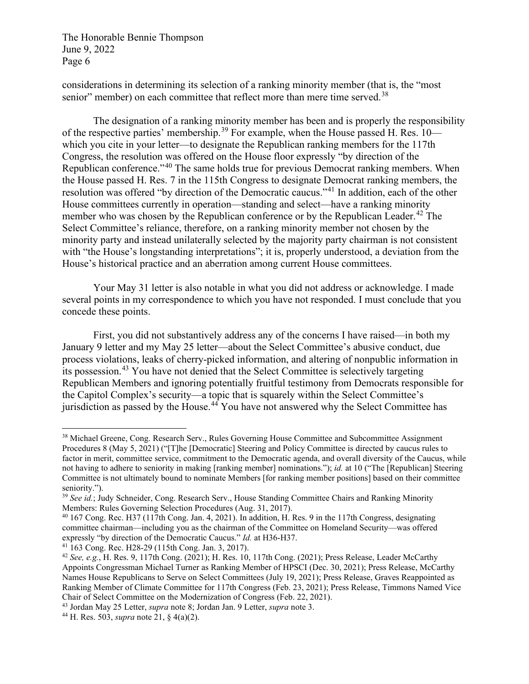considerations in determining its selection of a ranking minority member (that is, the "most senior" member) on each committee that reflect more than mere time served.<sup>[38](#page-5-0)</sup>

The designation of a ranking minority member has been and is properly the responsibility of the respective parties' membership.[39](#page-5-1) For example, when the House passed H. Res. 10 which you cite in your letter—to designate the Republican ranking members for the 117th Congress, the resolution was offered on the House floor expressly "by direction of the Republican conference."[40](#page-5-2) The same holds true for previous Democrat ranking members. When the House passed H. Res. 7 in the 115th Congress to designate Democrat ranking members, the resolution was offered "by direction of the Democratic caucus."[41](#page-5-3) In addition, each of the other House committees currently in operation—standing and select—have a ranking minority member who was chosen by the Republican conference or by the Republican Leader.<sup>[42](#page-5-4)</sup> The Select Committee's reliance, therefore, on a ranking minority member not chosen by the minority party and instead unilaterally selected by the majority party chairman is not consistent with "the House's longstanding interpretations"; it is, properly understood, a deviation from the House's historical practice and an aberration among current House committees.

Your May 31 letter is also notable in what you did not address or acknowledge. I made several points in my correspondence to which you have not responded. I must conclude that you concede these points.

First, you did not substantively address any of the concerns I have raised—in both my January 9 letter and my May 25 letter—about the Select Committee's abusive conduct, due process violations, leaks of cherry-picked information, and altering of nonpublic information in its possession.[43](#page-5-5) You have not denied that the Select Committee is selectively targeting Republican Members and ignoring potentially fruitful testimony from Democrats responsible for the Capitol Complex's security—a topic that is squarely within the Select Committee's jurisdiction as passed by the House.<sup>[44](#page-5-6)</sup> You have not answered why the Select Committee has

<span id="page-5-0"></span><sup>&</sup>lt;sup>38</sup> Michael Greene, Cong. Research Serv., Rules Governing House Committee and Subcommittee Assignment Procedures 8 (May 5, 2021) ("[T]he [Democratic] Steering and Policy Committee is directed by caucus rules to factor in merit, committee service, commitment to the Democratic agenda, and overall diversity of the Caucus, while not having to adhere to seniority in making [ranking member] nominations."); *id.* at 10 ("The [Republican] Steering Committee is not ultimately bound to nominate Members [for ranking member positions] based on their committee seniority.").

<span id="page-5-1"></span><sup>39</sup> *See id.*; Judy Schneider, Cong. Research Serv., House Standing Committee Chairs and Ranking Minority Members: Rules Governing Selection Procedures (Aug. 31, 2017).

<span id="page-5-2"></span><sup>40</sup> 167 Cong. Rec. H37 (117th Cong. Jan. 4, 2021). In addition, H. Res. 9 in the 117th Congress, designating committee chairman—including you as the chairman of the Committee on Homeland Security—was offered expressly "by direction of the Democratic Caucus." *Id.* at H36-H37.

<span id="page-5-3"></span><sup>41</sup> 163 Cong. Rec. H28-29 (115th Cong. Jan. 3, 2017).

<span id="page-5-4"></span><sup>42</sup> *See, e.g.*, H. Res. 9, 117th Cong. (2021); H. Res. 10, 117th Cong. (2021); Press Release, Leader McCarthy Appoints Congressman Michael Turner as Ranking Member of HPSCI (Dec. 30, 2021); Press Release, McCarthy Names House Republicans to Serve on Select Committees (July 19, 2021); Press Release, Graves Reappointed as Ranking Member of Climate Committee for 117th Congress (Feb. 23, 2021); Press Release, Timmons Named Vice Chair of Select Committee on the Modernization of Congress (Feb. 22, 2021).

<span id="page-5-5"></span><sup>43</sup> Jordan May 25 Letter, *supra* note [8;](#page-1-5) Jordan Jan. 9 Letter, *supra* not[e 3.](#page-0-4)

<span id="page-5-6"></span><sup>44</sup> H. Res. 503, *supra* note [21,](#page-3-0) § 4(a)(2).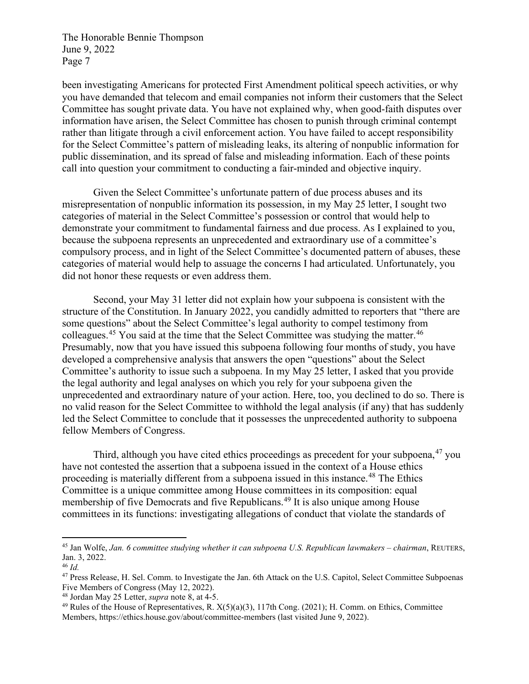been investigating Americans for protected First Amendment political speech activities, or why you have demanded that telecom and email companies not inform their customers that the Select Committee has sought private data. You have not explained why, when good-faith disputes over information have arisen, the Select Committee has chosen to punish through criminal contempt rather than litigate through a civil enforcement action. You have failed to accept responsibility for the Select Committee's pattern of misleading leaks, its altering of nonpublic information for public dissemination, and its spread of false and misleading information. Each of these points call into question your commitment to conducting a fair-minded and objective inquiry.

Given the Select Committee's unfortunate pattern of due process abuses and its misrepresentation of nonpublic information its possession, in my May 25 letter, I sought two categories of material in the Select Committee's possession or control that would help to demonstrate your commitment to fundamental fairness and due process. As I explained to you, because the subpoena represents an unprecedented and extraordinary use of a committee's compulsory process, and in light of the Select Committee's documented pattern of abuses, these categories of material would help to assuage the concerns I had articulated. Unfortunately, you did not honor these requests or even address them.

Second, your May 31 letter did not explain how your subpoena is consistent with the structure of the Constitution. In January 2022, you candidly admitted to reporters that "there are some questions" about the Select Committee's legal authority to compel testimony from colleagues.<sup>[45](#page-6-0)</sup> You said at the time that the Select Committee was studying the matter.<sup>[46](#page-6-1)</sup> Presumably, now that you have issued this subpoena following four months of study, you have developed a comprehensive analysis that answers the open "questions" about the Select Committee's authority to issue such a subpoena. In my May 25 letter, I asked that you provide the legal authority and legal analyses on which you rely for your subpoena given the unprecedented and extraordinary nature of your action. Here, too, you declined to do so. There is no valid reason for the Select Committee to withhold the legal analysis (if any) that has suddenly led the Select Committee to conclude that it possesses the unprecedented authority to subpoena fellow Members of Congress.

<span id="page-6-6"></span>Third, although you have cited ethics proceedings as precedent for your subpoena, <sup>[47](#page-6-2)</sup> you have not contested the assertion that a subpoena issued in the context of a House ethics proceeding is materially different from a subpoena issued in this instance.<sup>[48](#page-6-3)</sup> The Ethics Committee is a unique committee among House committees in its composition: equal membership of five Democrats and five Republicans.<sup>[49](#page-6-4)</sup> It is also unique among House committees in its functions: investigating allegations of conduct that violate the standards of

<span id="page-6-5"></span><span id="page-6-0"></span><sup>45</sup> Jan Wolfe, *Jan. 6 committee studying whether it can subpoena U.S. Republican lawmakers – chairman*, REUTERS, Jan. 3, 2022.

<span id="page-6-1"></span><sup>46</sup> *Id.*

<span id="page-6-2"></span><sup>&</sup>lt;sup>47</sup> Press Release, H. Sel. Comm. to Investigate the Jan. 6th Attack on the U.S. Capitol, Select Committee Subpoenas Five Members of Congress (May 12, 2022).

<span id="page-6-3"></span><sup>48</sup> Jordan May 25 Letter, *supra* note [8,](#page-1-5) at 4-5.

<span id="page-6-4"></span> $49$  Rules of the House of Representatives, R.  $X(5)(a)(3)$ , 117th Cong. (2021); H. Comm. on Ethics, Committee Members, https://ethics.house.gov/about/committee-members (last visited June 9, 2022).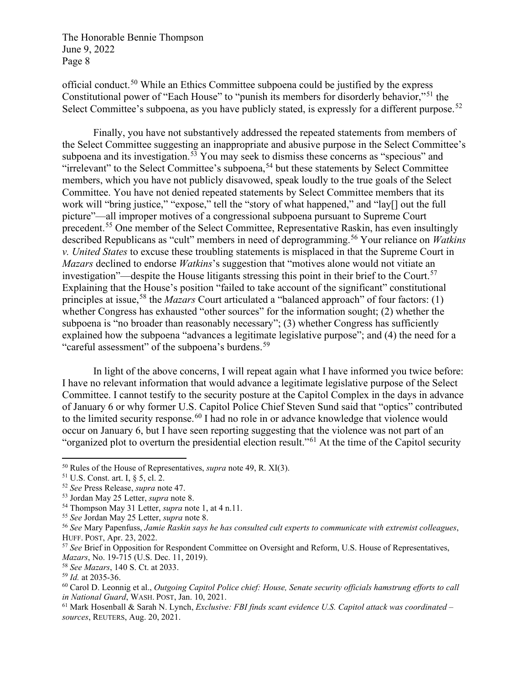official conduct.[50](#page-7-0) While an Ethics Committee subpoena could be justified by the express Constitutional power of "Each House" to "punish its members for disorderly behavior,"[51](#page-7-1) the Select Committee's subpoena, as you have publicly stated, is expressly for a different purpose.<sup>[52](#page-7-2)</sup>

Finally, you have not substantively addressed the repeated statements from members of the Select Committee suggesting an inappropriate and abusive purpose in the Select Committee's subpoena and its investigation.<sup>[53](#page-7-3)</sup> You may seek to dismiss these concerns as "specious" and "irrelevant" to the Select Committee's subpoena,<sup>[54](#page-7-4)</sup> but these statements by Select Committee members, which you have not publicly disavowed, speak loudly to the true goals of the Select Committee. You have not denied repeated statements by Select Committee members that its work will "bring justice," "expose," tell the "story of what happened," and "lay[] out the full picture"—all improper motives of a congressional subpoena pursuant to Supreme Court precedent.[55](#page-7-5) One member of the Select Committee, Representative Raskin, has even insultingly described Republicans as "cult" members in need of deprogramming.<sup>[56](#page-7-6)</sup> Your reliance on *Watkins v. United States* to excuse these troubling statements is misplaced in that the Supreme Court in *Mazars* declined to endorse *Watkins*'s suggestion that "motives alone would not vitiate an investigation"—despite the House litigants stressing this point in their brief to the Court.<sup>[57](#page-7-7)</sup> Explaining that the House's position "failed to take account of the significant" constitutional principles at issue, [58](#page-7-8) the *Mazars* Court articulated a "balanced approach" of four factors: (1) whether Congress has exhausted "other sources" for the information sought; (2) whether the subpoena is "no broader than reasonably necessary"; (3) whether Congress has sufficiently explained how the subpoena "advances a legitimate legislative purpose"; and (4) the need for a "careful assessment" of the subpoena's burdens. $59$ 

In light of the above concerns, I will repeat again what I have informed you twice before: I have no relevant information that would advance a legitimate legislative purpose of the Select Committee. I cannot testify to the security posture at the Capitol Complex in the days in advance of January 6 or why former U.S. Capitol Police Chief Steven Sund said that "optics" contributed to the limited security response.<sup>[60](#page-7-10)</sup> I had no role in or advance knowledge that violence would occur on January 6, but I have seen reporting suggesting that the violence was not part of an "organized plot to overturn the presidential election result."[61](#page-7-11) At the time of the Capitol security

<span id="page-7-0"></span><sup>50</sup> Rules of the House of Representatives, *supra* note [49,](#page-6-5) R. XI(3).

<span id="page-7-1"></span><sup>51</sup> U.S. Const. art. I, § 5, cl. 2.

<span id="page-7-2"></span><sup>52</sup> *See* Press Release, *supra* note [47.](#page-6-6)

<span id="page-7-3"></span><sup>53</sup> Jordan May 25 Letter, *supra* note [8.](#page-1-5)

<span id="page-7-4"></span><sup>54</sup> Thompson May 31 Letter, *supra* not[e 1,](#page-0-3) at 4 n.11.

<span id="page-7-5"></span><sup>55</sup> *See* Jordan May 25 Letter, *supra* not[e 8.](#page-1-5)

<span id="page-7-6"></span><sup>56</sup> *See* Mary Papenfuss, *Jamie Raskin says he has consulted cult experts to communicate with extremist colleagues*, HUFF. POST, Apr. 23, 2022.

<span id="page-7-7"></span><sup>57</sup> *See* Brief in Opposition for Respondent Committee on Oversight and Reform, U.S. House of Representatives, *Mazars*, No. 19-715 (U.S. Dec. 11, 2019).

<span id="page-7-8"></span><sup>58</sup> *See Mazars*, 140 S. Ct. at 2033.

<span id="page-7-9"></span><sup>59</sup> *Id.* at 2035-36.

<span id="page-7-10"></span><sup>60</sup> Carol D. Leonnig et al., *Outgoing Capitol Police chief: House, Senate security officials hamstrung efforts to call in National Guard*, WASH. POST, Jan. 10, 2021.

<span id="page-7-11"></span><sup>61</sup> Mark Hosenball & Sarah N. Lynch, *Exclusive: FBI finds scant evidence U.S. Capitol attack was coordinated – sources*, REUTERS, Aug. 20, 2021.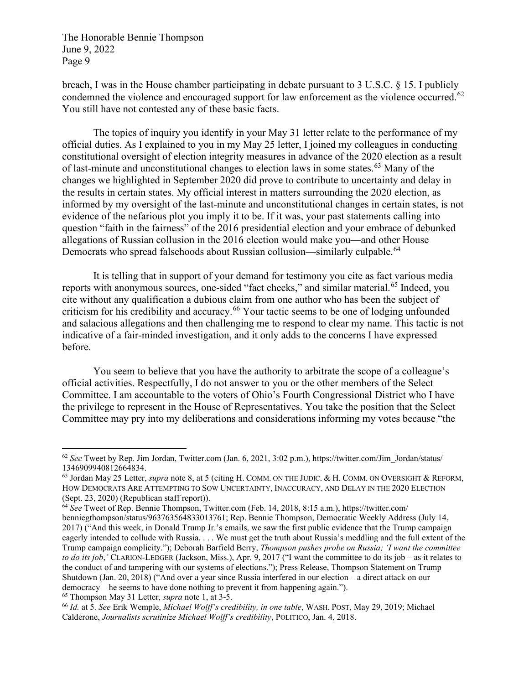breach, I was in the House chamber participating in debate pursuant to 3 U.S.C. § 15. I publicly condemned the violence and encouraged support for law enforcement as the violence occurred.<sup>[62](#page-8-0)</sup> You still have not contested any of these basic facts.

The topics of inquiry you identify in your May 31 letter relate to the performance of my official duties. As I explained to you in my May 25 letter, I joined my colleagues in conducting constitutional oversight of election integrity measures in advance of the 2020 election as a result of last-minute and unconstitutional changes to election laws in some states.<sup>[63](#page-8-1)</sup> Many of the changes we highlighted in September 2020 did prove to contribute to uncertainty and delay in the results in certain states. My official interest in matters surrounding the 2020 election, as informed by my oversight of the last-minute and unconstitutional changes in certain states, is not evidence of the nefarious plot you imply it to be. If it was, your past statements calling into question "faith in the fairness" of the 2016 presidential election and your embrace of debunked allegations of Russian collusion in the 2016 election would make you—and other House Democrats who spread falsehoods about Russian collusion—similarly culpable.<sup>[64](#page-8-2)</sup>

It is telling that in support of your demand for testimony you cite as fact various media reports with anonymous sources, one-sided "fact checks," and similar material.<sup>[65](#page-8-3)</sup> Indeed, you cite without any qualification a dubious claim from one author who has been the subject of criticism for his credibility and accuracy.<sup>[66](#page-8-4)</sup> Your tactic seems to be one of lodging unfounded and salacious allegations and then challenging me to respond to clear my name. This tactic is not indicative of a fair-minded investigation, and it only adds to the concerns I have expressed before.

You seem to believe that you have the authority to arbitrate the scope of a colleague's official activities. Respectfully, I do not answer to you or the other members of the Select Committee. I am accountable to the voters of Ohio's Fourth Congressional District who I have the privilege to represent in the House of Representatives. You take the position that the Select Committee may pry into my deliberations and considerations informing my votes because "the

<span id="page-8-0"></span><sup>62</sup> *See* Tweet by Rep. Jim Jordan, Twitter.com (Jan. 6, 2021, 3:02 p.m.), https://twitter.com/Jim\_Jordan/status/ 1346909940812664834.

<span id="page-8-1"></span><sup>63</sup> Jordan May 25 Letter, *supra* note [8,](#page-1-5) at 5 (citing H. COMM. ON THE JUDIC. & H. COMM. ON OVERSIGHT & REFORM, HOW DEMOCRATS ARE ATTEMPTING TO SOW UNCERTAINTY, INACCURACY, AND DELAY IN THE 2020 ELECTION (Sept. 23, 2020) (Republican staff report)).

<span id="page-8-2"></span><sup>64</sup> *See* Tweet of Rep. Bennie Thompson, Twitter.com (Feb. 14, 2018, 8:15 a.m.), https://twitter.com/ benniegthompson/status/963763564833013761; Rep. Bennie Thompson, Democratic Weekly Address (July 14, 2017) ("And this week, in Donald Trump Jr.'s emails, we saw the first public evidence that the Trump campaign eagerly intended to collude with Russia. . . . We must get the truth about Russia's meddling and the full extent of the Trump campaign complicity."); Deborah Barfield Berry, *Thompson pushes probe on Russia; 'I want the committee to do its job*,*'* CLARION-LEDGER (Jackson, Miss.), Apr. 9, 2017 ("I want the committee to do its job – as it relates to the conduct of and tampering with our systems of elections."); Press Release, Thompson Statement on Trump Shutdown (Jan. 20, 2018) ("And over a year since Russia interfered in our election – a direct attack on our democracy – he seems to have done nothing to prevent it from happening again.").

<span id="page-8-3"></span><sup>65</sup> Thompson May 31 Letter, *supra* not[e 1,](#page-0-3) at 3-5.

<span id="page-8-4"></span><sup>66</sup> *Id.* at 5. *See* Erik Wemple, *Michael Wolff's credibility, in one table*, WASH. POST, May 29, 2019; Michael Calderone, *Journalists scrutinize Michael Wolff's credibility*, POLITICO, Jan. 4, 2018.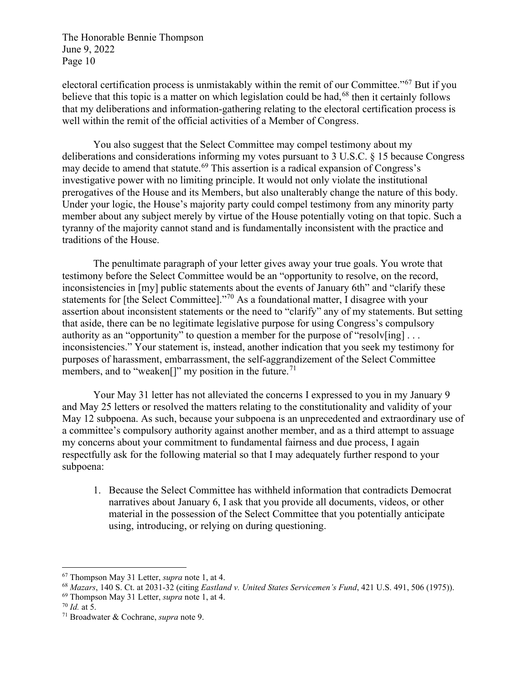electoral certification process is unmistakably within the remit of our Committee."[67](#page-9-0) But if you believe that this topic is a matter on which legislation could be had,<sup>[68](#page-9-1)</sup> then it certainly follows that my deliberations and information-gathering relating to the electoral certification process is well within the remit of the official activities of a Member of Congress.

You also suggest that the Select Committee may compel testimony about my deliberations and considerations informing my votes pursuant to 3 U.S.C. § 15 because Congress may decide to amend that statute.<sup>[69](#page-9-2)</sup> This assertion is a radical expansion of Congress's investigative power with no limiting principle. It would not only violate the institutional prerogatives of the House and its Members, but also unalterably change the nature of this body. Under your logic, the House's majority party could compel testimony from any minority party member about any subject merely by virtue of the House potentially voting on that topic. Such a tyranny of the majority cannot stand and is fundamentally inconsistent with the practice and traditions of the House.

The penultimate paragraph of your letter gives away your true goals. You wrote that testimony before the Select Committee would be an "opportunity to resolve, on the record, inconsistencies in [my] public statements about the events of January 6th" and "clarify these statements for [the Select Committee]."[70](#page-9-3) As a foundational matter, I disagree with your assertion about inconsistent statements or the need to "clarify" any of my statements. But setting that aside, there can be no legitimate legislative purpose for using Congress's compulsory authority as an "opportunity" to question a member for the purpose of "resolv $\lceil \text{ing} \rceil$ ... inconsistencies." Your statement is, instead, another indication that you seek my testimony for purposes of harassment, embarrassment, the self-aggrandizement of the Select Committee members, and to "weaken<sup>[]"</sup> my position in the future.<sup>[71](#page-9-4)</sup>

Your May 31 letter has not alleviated the concerns I expressed to you in my January 9 and May 25 letters or resolved the matters relating to the constitutionality and validity of your May 12 subpoena. As such, because your subpoena is an unprecedented and extraordinary use of a committee's compulsory authority against another member, and as a third attempt to assuage my concerns about your commitment to fundamental fairness and due process, I again respectfully ask for the following material so that I may adequately further respond to your subpoena:

1. Because the Select Committee has withheld information that contradicts Democrat narratives about January 6, I ask that you provide all documents, videos, or other material in the possession of the Select Committee that you potentially anticipate using, introducing, or relying on during questioning.

<span id="page-9-0"></span><sup>67</sup> Thompson May 31 Letter, *supra* not[e 1,](#page-0-3) at 4.

<span id="page-9-1"></span><sup>68</sup> *Mazars*, 140 S. Ct. at 2031-32 (citing *Eastland v. United States Servicemen's Fund*, 421 U.S. 491, 506 (1975)).

<span id="page-9-2"></span><sup>69</sup> Thompson May 31 Letter, *supra* not[e 1,](#page-0-3) at 4.

<span id="page-9-3"></span><sup>70</sup> *Id.* at 5.

<span id="page-9-4"></span><sup>71</sup> Broadwater & Cochrane, *supra* not[e 9.](#page-2-9)